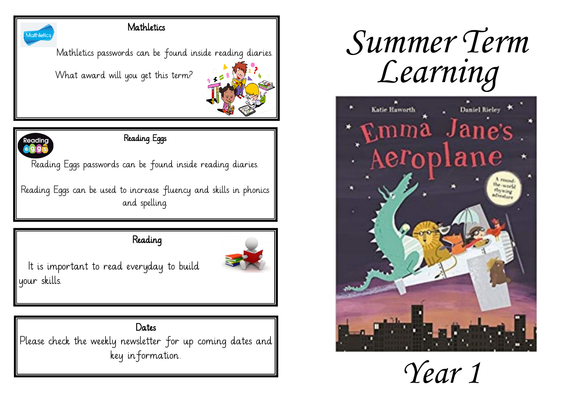#### **Mathletics**

Mathletics passwords can be found inside reading diaries.

What award will you get this term?



# **Readinc**

Mathletic

### Reading Eggs

Reading Eggs passwords can be found inside reading diaries.

Reading Eggs can be used to increase fluency and skills in phonics and spelling.

Reading



It is important to read everyday to build your skills.

#### Dates

Please check the weekly newsletter for up coming dates and key information.

# *Summer Term Learning*



*Year 1*